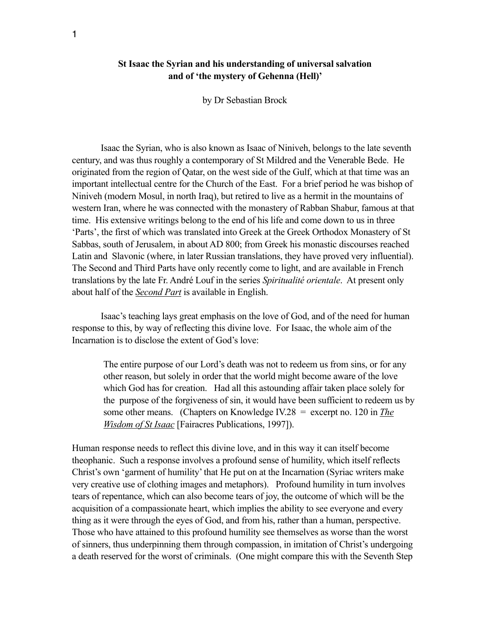## **St Isaac the Syrian and his understanding of universal salvation and of 'the mystery of Gehenna (Hell)'**

by Dr Sebastian Brock

 Isaac the Syrian, who is also known as Isaac of Niniveh, belongs to the late seventh century, and was thus roughly a contemporary of St Mildred and the Venerable Bede. He originated from the region of Qatar, on the west side of the Gulf, which at that time was an important intellectual centre for the Church of the East. For a brief period he was bishop of Niniveh (modern Mosul, in north Iraq), but retired to live as a hermit in the mountains of western Iran, where he was connected with the monastery of Rabban Shabur, famous at that time. His extensive writings belong to the end of his life and come down to us in three 'Parts', the first of which was translated into Greek at the Greek Orthodox Monastery of St Sabbas, south of Jerusalem, in about AD 800; from Greek his monastic discourses reached Latin and Slavonic (where, in later Russian translations, they have proved very influential). The Second and Third Parts have only recently come to light, and are available in French translations by the late Fr. André Louf in the series *Spiritualité orientale*. At present only about half of the *[Second Part](http://www.amazon.com/gp/product/9068317091/ref=as_li_qf_sp_asin_il_tl?ie=UTF8&camp=1789&creative=9325&creativeASIN=9068317091&linkCode=as2&tag=eclectorthod-20&linkId=Q4DOVRVOCQLR4BY5)* is available in English.

 Isaac's teaching lays great emphasis on the love of God, and of the need for human response to this, by way of reflecting this divine love. For Isaac, the whole aim of the Incarnation is to disclose the extent of God's love:

The entire purpose of our Lord's death was not to redeem us from sins, or for any other reason, but solely in order that the world might become aware of the love which God has for creation. Had all this astounding affair taken place solely for the purpose of the forgiveness of sin, it would have been sufficient to redeem us by [some other means. \(Chapters on Knowledge IV.28 = excerpt no. 120 in](http://www.amazon.com/gp/product/1593333358/ref=as_li_qf_sp_asin_il_tl?ie=UTF8&camp=1789&creative=9325&creativeASIN=1593333358&linkCode=as2&tag=eclectorthod-20&linkId=IWTU2N3M7ZW24GJX) *The Wisdom of St Isaac* [Fairacres Publications, 1997]).

Human response needs to reflect this divine love, and in this way it can itself become theophanic. Such a response involves a profound sense of humility, which itself reflects Christ's own 'garment of humility' that He put on at the Incarnation (Syriac writers make very creative use of clothing images and metaphors). Profound humility in turn involves tears of repentance, which can also become tears of joy, the outcome of which will be the acquisition of a compassionate heart, which implies the ability to see everyone and every thing as it were through the eyes of God, and from his, rather than a human, perspective. Those who have attained to this profound humility see themselves as worse than the worst of sinners, thus underpinning them through compassion, in imitation of Christ's undergoing a death reserved for the worst of criminals. (One might compare this with the Seventh Step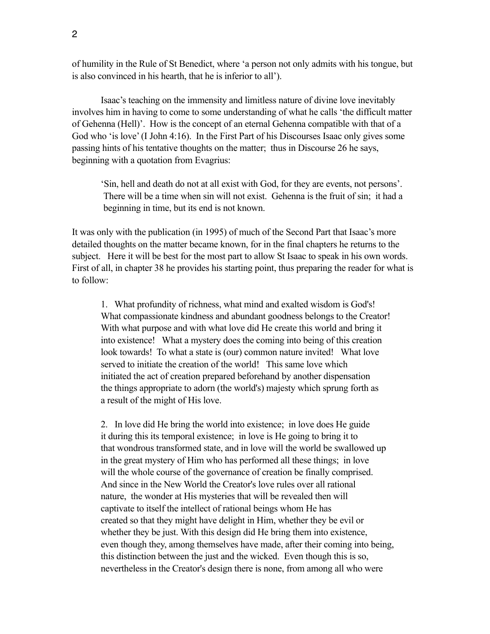of humility in the Rule of St Benedict, where 'a person not only admits with his tongue, but is also convinced in his hearth, that he is inferior to all').

 Isaac's teaching on the immensity and limitless nature of divine love inevitably involves him in having to come to some understanding of what he calls 'the difficult matter of Gehenna (Hell)'. How is the concept of an eternal Gehenna compatible with that of a God who 'is love' (I John 4:16). In the First Part of his Discourses Isaac only gives some passing hints of his tentative thoughts on the matter; thus in Discourse 26 he says, beginning with a quotation from Evagrius:

 'Sin, hell and death do not at all exist with God, for they are events, not persons'. There will be a time when sin will not exist. Gehenna is the fruit of sin; it had a beginning in time, but its end is not known.

It was only with the publication (in 1995) of much of the Second Part that Isaac's more detailed thoughts on the matter became known, for in the final chapters he returns to the subject. Here it will be best for the most part to allow St Isaac to speak in his own words. First of all, in chapter 38 he provides his starting point, thus preparing the reader for what is to follow:

 1. What profundity of richness, what mind and exalted wisdom is God's! What compassionate kindness and abundant goodness belongs to the Creator! With what purpose and with what love did He create this world and bring it into existence! What a mystery does the coming into being of this creation look towards! To what a state is (our) common nature invited! What love served to initiate the creation of the world! This same love which initiated the act of creation prepared beforehand by another dispensation the things appropriate to adorn (the world's) majesty which sprung forth as a result of the might of His love.

 2. In love did He bring the world into existence; in love does He guide it during this its temporal existence; in love is He going to bring it to that wondrous transformed state, and in love will the world be swallowed up in the great mystery of Him who has performed all these things; in love will the whole course of the governance of creation be finally comprised. And since in the New World the Creator's love rules over all rational nature, the wonder at His mysteries that will be revealed then will captivate to itself the intellect of rational beings whom He has created so that they might have delight in Him, whether they be evil or whether they be just. With this design did He bring them into existence, even though they, among themselves have made, after their coming into being, this distinction between the just and the wicked. Even though this is so, nevertheless in the Creator's design there is none, from among all who were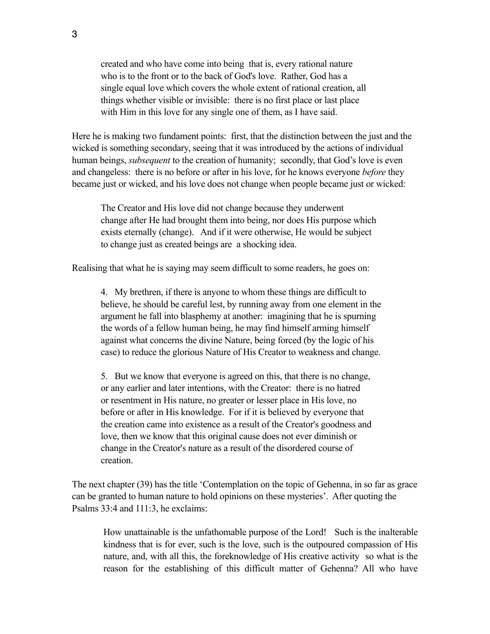created and who have come into being that is, every rational nature who is to the front or to the back of God's love. Rather, God has a single equal love which covers the whole extent of rational creation, all things whether visible or invisible: there is no first place or last place with Him in this love for any single one of them, as I have said.

Here he is making two fundament points: first, that the distinction between the just and the wicked is something secondary, seeing that it was introduced by the actions of individual human beings, *subsequent* to the creation of humanity; secondly, that God's love is even and changeless: there is no before or after in his love, for he knows everyone *before* they became just or wicked, and his love does not change when people became just or wicked:

 The Creator and His love did not change because they underwent change after He had brought them into being, nor does His purpose which exists eternally (change). And if it were otherwise, He would be subject to change just as created beings are a shocking idea.

Realising that what he is saying may seem difficult to some readers, he goes on:

 4. My brethren, if there is anyone to whom these things are difficult to believe, he should be careful lest, by running away from one element in the argument he fall into blasphemy at another: imagining that he is spurning the words of a fellow human being, he may find himself arming himself against what concerns the divine Nature, being forced (by the logic of his case) to reduce the glorious Nature of His Creator to weakness and change.

 5. But we know that everyone is agreed on this, that there is no change, or any earlier and later intentions, with the Creator: there is no hatred or resentment in His nature, no greater or lesser place in His love, no before or after in His knowledge. For if it is believed by everyone that the creation came into existence as a result of the Creator's goodness and love, then we know that this original cause does not ever diminish or change in the Creator's nature as a result of the disordered course of creation.

The next chapter (39) has the title 'Contemplation on the topic of Gehenna, in so far as grace can be granted to human nature to hold opinions on these mysteries'. After quoting the Psalms 33:4 and 111:3, he exclaims:

How unattainable is the unfathomable purpose of the Lord! Such is the inalterable kindness that is for ever, such is the love, such is the outpoured compassion of His nature, and, with all this, the foreknowledge of His creative activity so what is the reason for the establishing of this difficult matter of Gehenna? All who have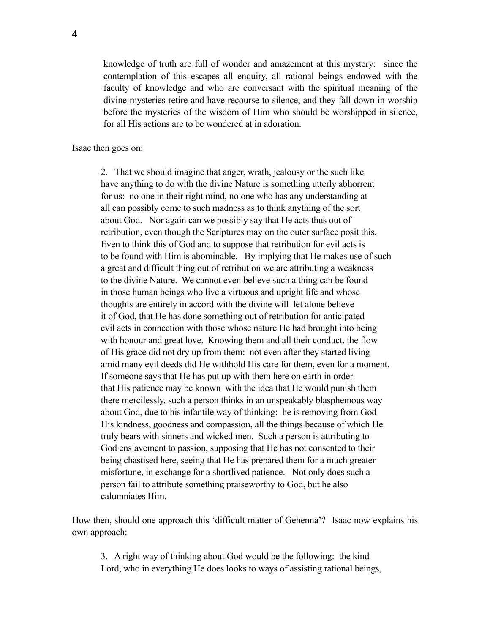knowledge of truth are full of wonder and amazement at this mystery: since the contemplation of this escapes all enquiry, all rational beings endowed with the faculty of knowledge and who are conversant with the spiritual meaning of the divine mysteries retire and have recourse to silence, and they fall down in worship before the mysteries of the wisdom of Him who should be worshipped in silence, for all His actions are to be wondered at in adoration.

Isaac then goes on:

 2. That we should imagine that anger, wrath, jealousy or the such like have anything to do with the divine Nature is something utterly abhorrent for us: no one in their right mind, no one who has any understanding at all can possibly come to such madness as to think anything of the sort about God. Nor again can we possibly say that He acts thus out of retribution, even though the Scriptures may on the outer surface posit this. Even to think this of God and to suppose that retribution for evil acts is to be found with Him is abominable. By implying that He makes use of such a great and difficult thing out of retribution we are attributing a weakness to the divine Nature. We cannot even believe such a thing can be found in those human beings who live a virtuous and upright life and whose thoughts are entirely in accord with the divine will let alone believe it of God, that He has done something out of retribution for anticipated evil acts in connection with those whose nature He had brought into being with honour and great love. Knowing them and all their conduct, the flow of His grace did not dry up from them: not even after they started living amid many evil deeds did He withhold His care for them, even for a moment. If someone says that He has put up with them here on earth in order that His patience may be known with the idea that He would punish them there mercilessly, such a person thinks in an unspeakably blasphemous way about God, due to his infantile way of thinking: he is removing from God His kindness, goodness and compassion, all the things because of which He truly bears with sinners and wicked men. Such a person is attributing to God enslavement to passion, supposing that He has not consented to their being chastised here, seeing that He has prepared them for a much greater misfortune, in exchange for a shortlived patience. Not only does such a person fail to attribute something praiseworthy to God, but he also calumniates Him.

How then, should one approach this 'difficult matter of Gehenna'? Isaac now explains his own approach:

 3. A right way of thinking about God would be the following: the kind Lord, who in everything He does looks to ways of assisting rational beings,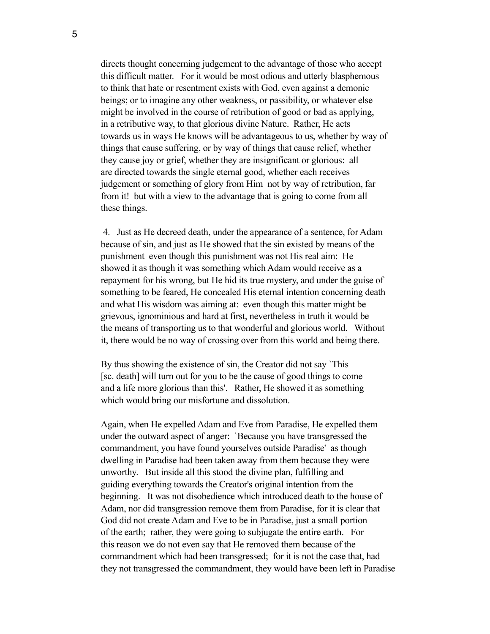directs thought concerning judgement to the advantage of those who accept this difficult matter. For it would be most odious and utterly blasphemous to think that hate or resentment exists with God, even against a demonic beings; or to imagine any other weakness, or passibility, or whatever else might be involved in the course of retribution of good or bad as applying, in a retributive way, to that glorious divine Nature. Rather, He acts towards us in ways He knows will be advantageous to us, whether by way of things that cause suffering, or by way of things that cause relief, whether they cause joy or grief, whether they are insignificant or glorious: all are directed towards the single eternal good, whether each receives judgement or something of glory from Him not by way of retribution, far from it! but with a view to the advantage that is going to come from all these things.

 4. Just as He decreed death, under the appearance of a sentence, for Adam because of sin, and just as He showed that the sin existed by means of the punishment even though this punishment was not His real aim: He showed it as though it was something which Adam would receive as a repayment for his wrong, but He hid its true mystery, and under the guise of something to be feared, He concealed His eternal intention concerning death and what His wisdom was aiming at: even though this matter might be grievous, ignominious and hard at first, nevertheless in truth it would be the means of transporting us to that wonderful and glorious world. Without it, there would be no way of crossing over from this world and being there.

 By thus showing the existence of sin, the Creator did not say `This [sc. death] will turn out for you to be the cause of good things to come and a life more glorious than this'. Rather, He showed it as something which would bring our misfortune and dissolution.

 Again, when He expelled Adam and Eve from Paradise, He expelled them under the outward aspect of anger: `Because you have transgressed the commandment, you have found yourselves outside Paradise' as though dwelling in Paradise had been taken away from them because they were unworthy. But inside all this stood the divine plan, fulfilling and guiding everything towards the Creator's original intention from the beginning. It was not disobedience which introduced death to the house of Adam, nor did transgression remove them from Paradise, for it is clear that God did not create Adam and Eve to be in Paradise, just a small portion of the earth; rather, they were going to subjugate the entire earth. For this reason we do not even say that He removed them because of the commandment which had been transgressed; for it is not the case that, had they not transgressed the commandment, they would have been left in Paradise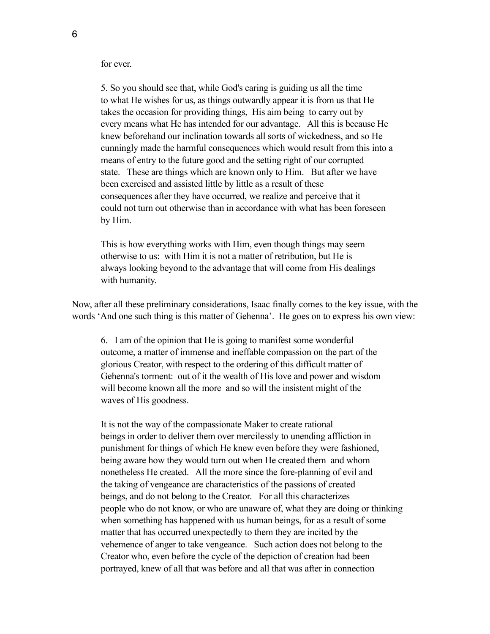for ever.

 5. So you should see that, while God's caring is guiding us all the time to what He wishes for us, as things outwardly appear it is from us that He takes the occasion for providing things, His aim being to carry out by every means what He has intended for our advantage. All this is because He knew beforehand our inclination towards all sorts of wickedness, and so He cunningly made the harmful consequences which would result from this into a means of entry to the future good and the setting right of our corrupted state. These are things which are known only to Him. But after we have been exercised and assisted little by little as a result of these consequences after they have occurred, we realize and perceive that it could not turn out otherwise than in accordance with what has been foreseen by Him.

 This is how everything works with Him, even though things may seem otherwise to us: with Him it is not a matter of retribution, but He is always looking beyond to the advantage that will come from His dealings with humanity.

Now, after all these preliminary considerations, Isaac finally comes to the key issue, with the words 'And one such thing is this matter of Gehenna'. He goes on to express his own view:

 6. I am of the opinion that He is going to manifest some wonderful outcome, a matter of immense and ineffable compassion on the part of the glorious Creator, with respect to the ordering of this difficult matter of Gehenna's torment: out of it the wealth of His love and power and wisdom will become known all the more and so will the insistent might of the waves of His goodness.

 It is not the way of the compassionate Maker to create rational beings in order to deliver them over mercilessly to unending affliction in punishment for things of which He knew even before they were fashioned, being aware how they would turn out when He created them and whom nonetheless He created. All the more since the fore-planning of evil and the taking of vengeance are characteristics of the passions of created beings, and do not belong to the Creator. For all this characterizes people who do not know, or who are unaware of, what they are doing or thinking when something has happened with us human beings, for as a result of some matter that has occurred unexpectedly to them they are incited by the vehemence of anger to take vengeance. Such action does not belong to the Creator who, even before the cycle of the depiction of creation had been portrayed, knew of all that was before and all that was after in connection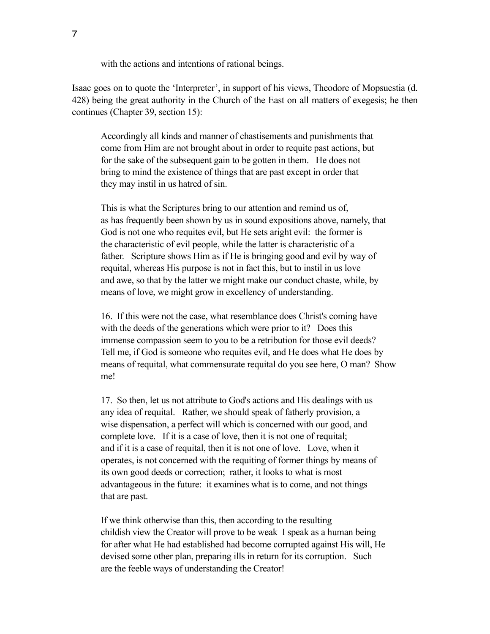with the actions and intentions of rational beings.

Isaac goes on to quote the 'Interpreter', in support of his views, Theodore of Mopsuestia (d. 428) being the great authority in the Church of the East on all matters of exegesis; he then continues (Chapter 39, section 15):

 Accordingly all kinds and manner of chastisements and punishments that come from Him are not brought about in order to requite past actions, but for the sake of the subsequent gain to be gotten in them. He does not bring to mind the existence of things that are past except in order that they may instil in us hatred of sin.

 This is what the Scriptures bring to our attention and remind us of, as has frequently been shown by us in sound expositions above, namely, that God is not one who requites evil, but He sets aright evil: the former is the characteristic of evil people, while the latter is characteristic of a father. Scripture shows Him as if He is bringing good and evil by way of requital, whereas His purpose is not in fact this, but to instil in us love and awe, so that by the latter we might make our conduct chaste, while, by means of love, we might grow in excellency of understanding.

 16. If this were not the case, what resemblance does Christ's coming have with the deeds of the generations which were prior to it? Does this immense compassion seem to you to be a retribution for those evil deeds? Tell me, if God is someone who requites evil, and He does what He does by means of requital, what commensurate requital do you see here, O man? Show me!

 17. So then, let us not attribute to God's actions and His dealings with us any idea of requital. Rather, we should speak of fatherly provision, a wise dispensation, a perfect will which is concerned with our good, and complete love. If it is a case of love, then it is not one of requital; and if it is a case of requital, then it is not one of love. Love, when it operates, is not concerned with the requiting of former things by means of its own good deeds or correction; rather, it looks to what is most advantageous in the future: it examines what is to come, and not things that are past.

 If we think otherwise than this, then according to the resulting childish view the Creator will prove to be weak I speak as a human being for after what He had established had become corrupted against His will, He devised some other plan, preparing ills in return for its corruption. Such are the feeble ways of understanding the Creator!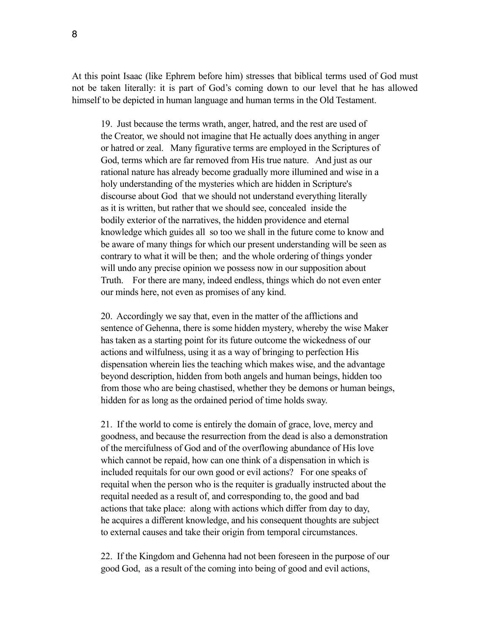At this point Isaac (like Ephrem before him) stresses that biblical terms used of God must not be taken literally: it is part of God's coming down to our level that he has allowed himself to be depicted in human language and human terms in the Old Testament.

 19. Just because the terms wrath, anger, hatred, and the rest are used of the Creator, we should not imagine that He actually does anything in anger or hatred or zeal. Many figurative terms are employed in the Scriptures of God, terms which are far removed from His true nature. And just as our rational nature has already become gradually more illumined and wise in a holy understanding of the mysteries which are hidden in Scripture's discourse about God that we should not understand everything literally as it is written, but rather that we should see, concealed inside the bodily exterior of the narratives, the hidden providence and eternal knowledge which guides all so too we shall in the future come to know and be aware of many things for which our present understanding will be seen as contrary to what it will be then; and the whole ordering of things yonder will undo any precise opinion we possess now in our supposition about Truth. For there are many, indeed endless, things which do not even enter our minds here, not even as promises of any kind.

 20. Accordingly we say that, even in the matter of the afflictions and sentence of Gehenna, there is some hidden mystery, whereby the wise Maker has taken as a starting point for its future outcome the wickedness of our actions and wilfulness, using it as a way of bringing to perfection His dispensation wherein lies the teaching which makes wise, and the advantage beyond description, hidden from both angels and human beings, hidden too from those who are being chastised, whether they be demons or human beings, hidden for as long as the ordained period of time holds sway.

 21. If the world to come is entirely the domain of grace, love, mercy and goodness, and because the resurrection from the dead is also a demonstration of the mercifulness of God and of the overflowing abundance of His love which cannot be repaid, how can one think of a dispensation in which is included requitals for our own good or evil actions? For one speaks of requital when the person who is the requiter is gradually instructed about the requital needed as a result of, and corresponding to, the good and bad actions that take place: along with actions which differ from day to day, he acquires a different knowledge, and his consequent thoughts are subject to external causes and take their origin from temporal circumstances.

 22. If the Kingdom and Gehenna had not been foreseen in the purpose of our good God, as a result of the coming into being of good and evil actions,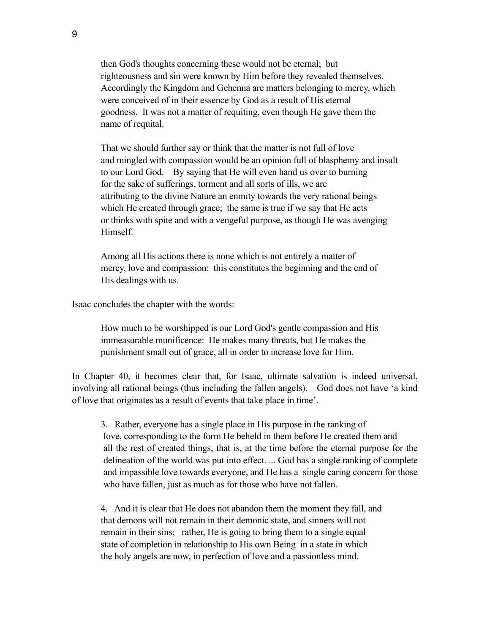then God's thoughts concerning these would not be eternal; but righteousness and sin were known by Him before they revealed themselves. Accordingly the Kingdom and Gehenna are matters belonging to mercy, which were conceived of in their essence by God as a result of His eternal goodness. It was not a matter of requiting, even though He gave them the name of requital.

 That we should further say or think that the matter is not full of love and mingled with compassion would be an opinion full of blasphemy and insult to our Lord God. By saying that He will even hand us over to burning for the sake of sufferings, torment and all sorts of ills, we are attributing to the divine Nature an enmity towards the very rational beings which He created through grace; the same is true if we say that He acts or thinks with spite and with a vengeful purpose, as though He was avenging Himself.

 Among all His actions there is none which is not entirely a matter of mercy, love and compassion: this constitutes the beginning and the end of His dealings with us.

Isaac concludes the chapter with the words:

 How much to be worshipped is our Lord God's gentle compassion and His immeasurable munificence: He makes many threats, but He makes the punishment small out of grace, all in order to increase love for Him.

In Chapter 40, it becomes clear that, for Isaac, ultimate salvation is indeed universal, involving all rational beings (thus including the fallen angels). God does not have 'a kind of love that originates as a result of events that take place in time'.

 3. Rather, everyone has a single place in His purpose in the ranking of love, corresponding to the form He beheld in them before He created them and all the rest of created things, that is, at the time before the eternal purpose for the delineation of the world was put into effect. ... God has a single ranking of complete and impassible love towards everyone, and He has a single caring concern for those who have fallen, just as much as for those who have not fallen.

 4. And it is clear that He does not abandon them the moment they fall, and that demons will not remain in their demonic state, and sinners will not remain in their sins; rather, He is going to bring them to a single equal state of completion in relationship to His own Being in a state in which the holy angels are now, in perfection of love and a passionless mind.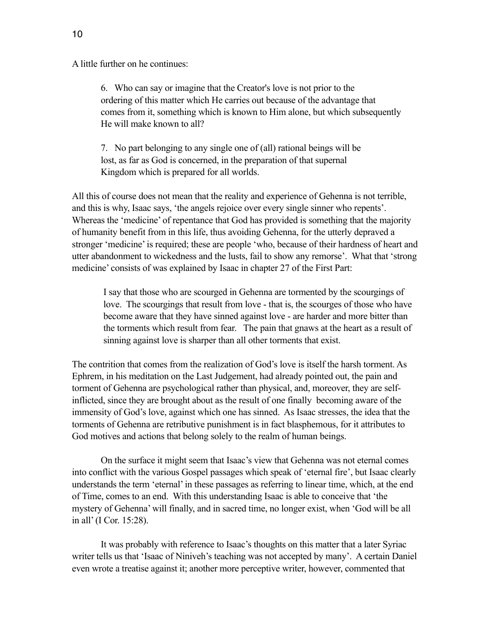A little further on he continues:

 6. Who can say or imagine that the Creator's love is not prior to the ordering of this matter which He carries out because of the advantage that comes from it, something which is known to Him alone, but which subsequently He will make known to all?

 7. No part belonging to any single one of (all) rational beings will be lost, as far as God is concerned, in the preparation of that supernal Kingdom which is prepared for all worlds.

All this of course does not mean that the reality and experience of Gehenna is not terrible, and this is why, Isaac says, 'the angels rejoice over every single sinner who repents'. Whereas the 'medicine' of repentance that God has provided is something that the majority of humanity benefit from in this life, thus avoiding Gehenna, for the utterly depraved a stronger 'medicine' is required; these are people 'who, because of their hardness of heart and utter abandonment to wickedness and the lusts, fail to show any remorse'. What that 'strong medicine' consists of was explained by Isaac in chapter 27 of the First Part:

I say that those who are scourged in Gehenna are tormented by the scourgings of love. The scourgings that result from love - that is, the scourges of those who have become aware that they have sinned against love - are harder and more bitter than the torments which result from fear. The pain that gnaws at the heart as a result of sinning against love is sharper than all other torments that exist.

The contrition that comes from the realization of God's love is itself the harsh torment. As Ephrem, in his meditation on the Last Judgement, had already pointed out, the pain and torment of Gehenna are psychological rather than physical, and, moreover, they are selfinflicted, since they are brought about as the result of one finally becoming aware of the immensity of God's love, against which one has sinned. As Isaac stresses, the idea that the torments of Gehenna are retributive punishment is in fact blasphemous, for it attributes to God motives and actions that belong solely to the realm of human beings.

 On the surface it might seem that Isaac's view that Gehenna was not eternal comes into conflict with the various Gospel passages which speak of 'eternal fire', but Isaac clearly understands the term 'eternal' in these passages as referring to linear time, which, at the end of Time, comes to an end. With this understanding Isaac is able to conceive that 'the mystery of Gehenna' will finally, and in sacred time, no longer exist, when 'God will be all in all' (I Cor. 15:28).

 It was probably with reference to Isaac's thoughts on this matter that a later Syriac writer tells us that 'Isaac of Niniveh's teaching was not accepted by many'. A certain Daniel even wrote a treatise against it; another more perceptive writer, however, commented that